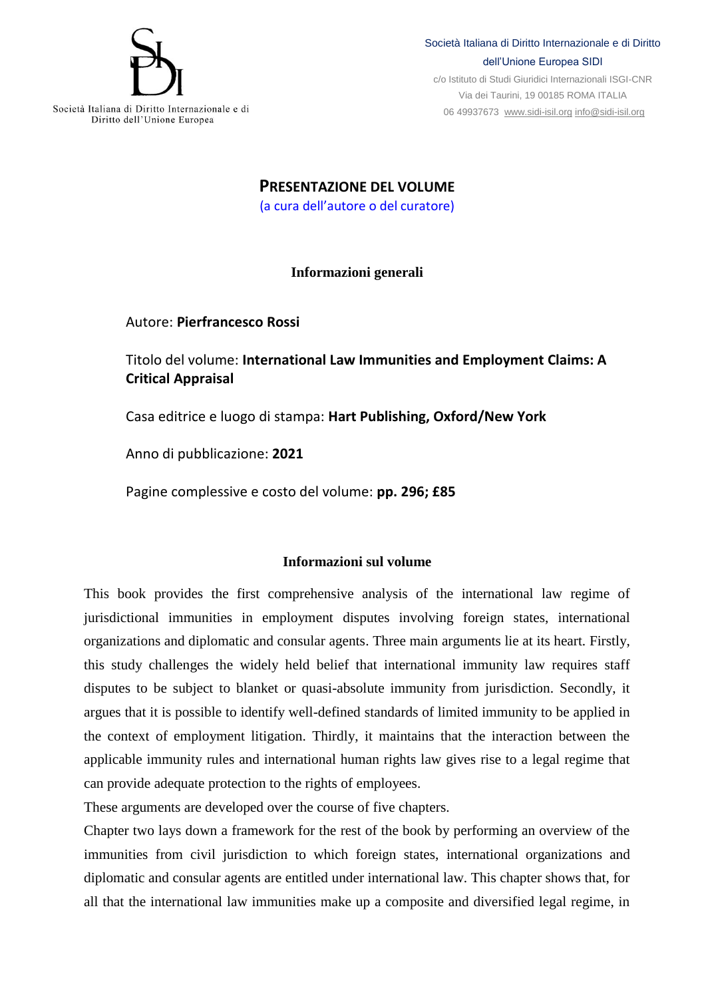

Diritto dell'Unione Europea

Società Italiana di Diritto Internazionale e di Diritto dell'Unione Europea SIDI

c/o Istituto di Studi Giuridici Internazionali ISGI-CNR Via dei Taurini, 19 00185 ROMA ITALIA 06 49937673 [www.sidi-isil.org](http://www.sidi-isil.org/) [info@sidi-isil.org](mailto:info@sidi-isil.org)

**PRESENTAZIONE DEL VOLUME** (a cura dell'autore o del curatore)

## **Informazioni generali**

Autore: **Pierfrancesco Rossi**

Titolo del volume: **International Law Immunities and Employment Claims: A Critical Appraisal**

Casa editrice e luogo di stampa: **Hart Publishing, Oxford/New York**

Anno di pubblicazione: **2021**

Pagine complessive e costo del volume: **pp. 296; £85**

## **Informazioni sul volume**

This book provides the first comprehensive analysis of the international law regime of jurisdictional immunities in employment disputes involving foreign states, international organizations and diplomatic and consular agents. Three main arguments lie at its heart. Firstly, this study challenges the widely held belief that international immunity law requires staff disputes to be subject to blanket or quasi-absolute immunity from jurisdiction. Secondly, it argues that it is possible to identify well-defined standards of limited immunity to be applied in the context of employment litigation. Thirdly, it maintains that the interaction between the applicable immunity rules and international human rights law gives rise to a legal regime that can provide adequate protection to the rights of employees.

These arguments are developed over the course of five chapters.

Chapter two lays down a framework for the rest of the book by performing an overview of the immunities from civil jurisdiction to which foreign states, international organizations and diplomatic and consular agents are entitled under international law. This chapter shows that, for all that the international law immunities make up a composite and diversified legal regime, in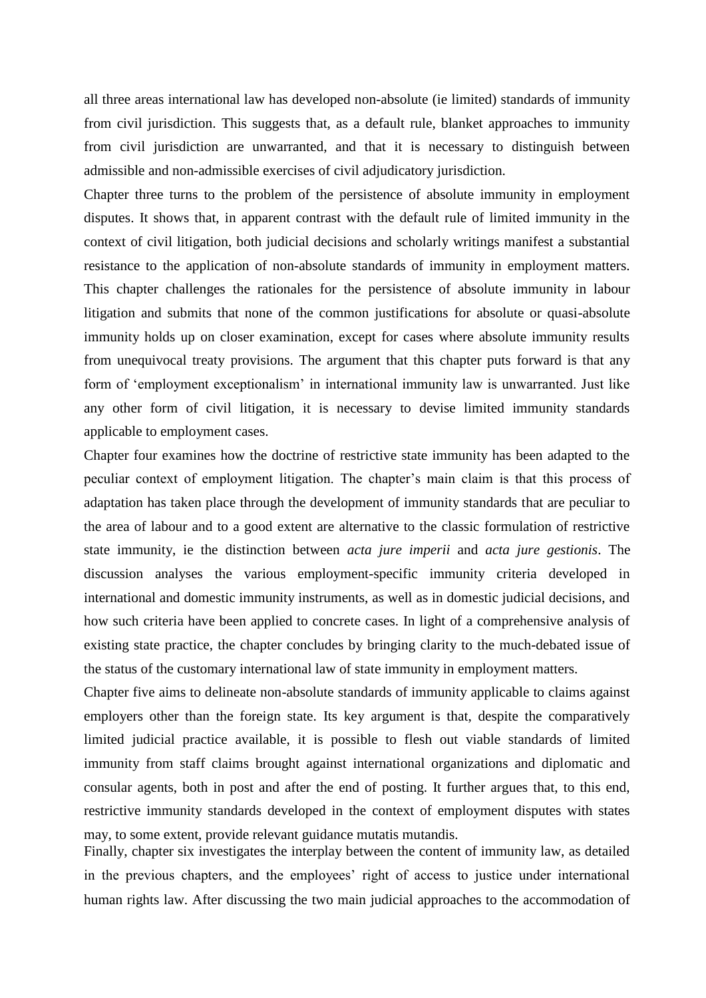all three areas international law has developed non-absolute (ie limited) standards of immunity from civil jurisdiction. This suggests that, as a default rule, blanket approaches to immunity from civil jurisdiction are unwarranted, and that it is necessary to distinguish between admissible and non-admissible exercises of civil adjudicatory jurisdiction.

Chapter three turns to the problem of the persistence of absolute immunity in employment disputes. It shows that, in apparent contrast with the default rule of limited immunity in the context of civil litigation, both judicial decisions and scholarly writings manifest a substantial resistance to the application of non-absolute standards of immunity in employment matters. This chapter challenges the rationales for the persistence of absolute immunity in labour litigation and submits that none of the common justifications for absolute or quasi-absolute immunity holds up on closer examination, except for cases where absolute immunity results from unequivocal treaty provisions. The argument that this chapter puts forward is that any form of 'employment exceptionalism' in international immunity law is unwarranted. Just like any other form of civil litigation, it is necessary to devise limited immunity standards applicable to employment cases.

Chapter four examines how the doctrine of restrictive state immunity has been adapted to the peculiar context of employment litigation. The chapter's main claim is that this process of adaptation has taken place through the development of immunity standards that are peculiar to the area of labour and to a good extent are alternative to the classic formulation of restrictive state immunity, ie the distinction between *acta jure imperii* and *acta jure gestionis*. The discussion analyses the various employment-specific immunity criteria developed in international and domestic immunity instruments, as well as in domestic judicial decisions, and how such criteria have been applied to concrete cases. In light of a comprehensive analysis of existing state practice, the chapter concludes by bringing clarity to the much-debated issue of the status of the customary international law of state immunity in employment matters.

Chapter five aims to delineate non-absolute standards of immunity applicable to claims against employers other than the foreign state. Its key argument is that, despite the comparatively limited judicial practice available, it is possible to flesh out viable standards of limited immunity from staff claims brought against international organizations and diplomatic and consular agents, both in post and after the end of posting. It further argues that, to this end, restrictive immunity standards developed in the context of employment disputes with states may, to some extent, provide relevant guidance mutatis mutandis.

Finally, chapter six investigates the interplay between the content of immunity law, as detailed in the previous chapters, and the employees' right of access to justice under international human rights law. After discussing the two main judicial approaches to the accommodation of